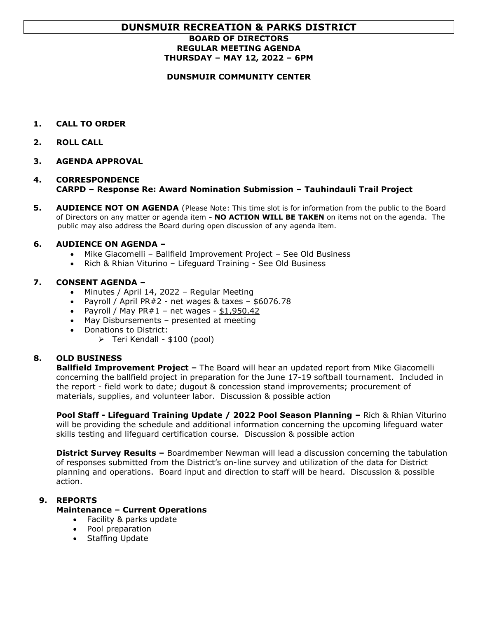# **DUNSMUIR RECREATION & PARKS DISTRICT**

# **BOARD OF DIRECTORS REGULAR MEETING AGENDA THURSDAY – MAY 12, 2022 – 6PM**

#### **DUNSMUIR COMMUNITY CENTER**

- **1. CALL TO ORDER**
- **2. ROLL CALL**
- **3. AGENDA APPROVAL**

# **4. CORRESPONDENCE CARPD – Response Re: Award Nomination Submission – Tauhindauli Trail Project**

**5. AUDIENCE NOT ON AGENDA** (Please Note: This time slot is for information from the public to the Board of Directors on any matter or agenda item *-* **NO ACTION WILL BE TAKEN** on items not on the agenda. The public may also address the Board during open discussion of any agenda item.

#### **6. AUDIENCE ON AGENDA –**

- Mike Giacomelli Ballfield Improvement Project See Old Business
- Rich & Rhian Viturino Lifeguard Training See Old Business

#### **7. CONSENT AGENDA –**

- Minutes / April 14, 2022 Regular Meeting
- Payroll / April PR#2 net wages & taxes  $-$  \$6076.78
- Payroll / May  $PR#1$  net wages \$1,950.42
- May Disbursements presented at meeting
- Donations to District:
	- ➢ Teri Kendall \$100 (pool)

# **8. OLD BUSINESS**

**Ballfield Improvement Project –** The Board will hear an updated report from Mike Giacomelli concerning the ballfield project in preparation for the June 17-19 softball tournament. Included in the report - field work to date; dugout & concession stand improvements; procurement of materials, supplies, and volunteer labor. Discussion & possible action

**Pool Staff - Lifeguard Training Update / 2022 Pool Season Planning –** Rich & Rhian Viturino will be providing the schedule and additional information concerning the upcoming lifeguard water skills testing and lifeguard certification course. Discussion & possible action

**District Survey Results –** Boardmember Newman will lead a discussion concerning the tabulation of responses submitted from the District's on-line survey and utilization of the data for District planning and operations. Board input and direction to staff will be heard. Discussion & possible action.

# **9. REPORTS**

#### **Maintenance – Current Operations**

- Facility & parks update
- Pool preparation
- Staffing Update